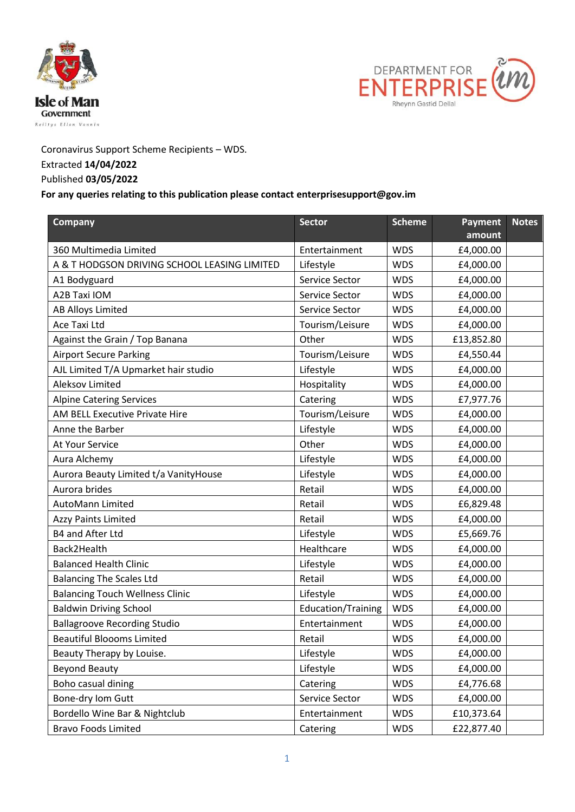



Coronavirus Support Scheme Recipients – WDS.

## Extracted **14/04/2022**

## Published **03/05/2022**

## **For any queries relating to this publication please contact enterprisesupport@gov.im**

| <b>Company</b>                               | <b>Sector</b>             | <b>Scheme</b> | <b>Payment</b><br>amount | <b>Notes</b> |
|----------------------------------------------|---------------------------|---------------|--------------------------|--------------|
| 360 Multimedia Limited                       | Entertainment             | <b>WDS</b>    | £4,000.00                |              |
| A & T HODGSON DRIVING SCHOOL LEASING LIMITED | Lifestyle                 | <b>WDS</b>    | £4,000.00                |              |
| A1 Bodyguard                                 | Service Sector            | <b>WDS</b>    | £4,000.00                |              |
| A2B Taxi IOM                                 | Service Sector            | <b>WDS</b>    | £4,000.00                |              |
| <b>AB Alloys Limited</b>                     | Service Sector            | <b>WDS</b>    | £4,000.00                |              |
| Ace Taxi Ltd                                 | Tourism/Leisure           | <b>WDS</b>    | £4,000.00                |              |
| Against the Grain / Top Banana               | Other                     | <b>WDS</b>    | £13,852.80               |              |
| <b>Airport Secure Parking</b>                | Tourism/Leisure           | <b>WDS</b>    | £4,550.44                |              |
| AJL Limited T/A Upmarket hair studio         | Lifestyle                 | <b>WDS</b>    | £4,000.00                |              |
| Aleksov Limited                              | Hospitality               | <b>WDS</b>    | £4,000.00                |              |
| <b>Alpine Catering Services</b>              | Catering                  | <b>WDS</b>    | £7,977.76                |              |
| AM BELL Executive Private Hire               | Tourism/Leisure           | <b>WDS</b>    | £4,000.00                |              |
| Anne the Barber                              | Lifestyle                 | <b>WDS</b>    | £4,000.00                |              |
| At Your Service                              | Other                     | <b>WDS</b>    | £4,000.00                |              |
| Aura Alchemy                                 | Lifestyle                 | <b>WDS</b>    | £4,000.00                |              |
| Aurora Beauty Limited t/a VanityHouse        | Lifestyle                 | <b>WDS</b>    | £4,000.00                |              |
| Aurora brides                                | Retail                    | <b>WDS</b>    | £4,000.00                |              |
| <b>AutoMann Limited</b>                      | Retail                    | <b>WDS</b>    | £6,829.48                |              |
| <b>Azzy Paints Limited</b>                   | Retail                    | <b>WDS</b>    | £4,000.00                |              |
| B4 and After Ltd                             | Lifestyle                 | <b>WDS</b>    | £5,669.76                |              |
| Back2Health                                  | Healthcare                | <b>WDS</b>    | £4,000.00                |              |
| <b>Balanced Health Clinic</b>                | Lifestyle                 | <b>WDS</b>    | £4,000.00                |              |
| <b>Balancing The Scales Ltd</b>              | Retail                    | <b>WDS</b>    | £4,000.00                |              |
| <b>Balancing Touch Wellness Clinic</b>       | Lifestyle                 | <b>WDS</b>    | £4,000.00                |              |
| <b>Baldwin Driving School</b>                | <b>Education/Training</b> | <b>WDS</b>    | £4,000.00                |              |
| <b>Ballagroove Recording Studio</b>          | Entertainment             | <b>WDS</b>    | £4,000.00                |              |
| <b>Beautiful Bloooms Limited</b>             | Retail                    | <b>WDS</b>    | £4,000.00                |              |
| Beauty Therapy by Louise.                    | Lifestyle                 | <b>WDS</b>    | £4,000.00                |              |
| <b>Beyond Beauty</b>                         | Lifestyle                 | <b>WDS</b>    | £4,000.00                |              |
| Boho casual dining                           | Catering                  | <b>WDS</b>    | £4,776.68                |              |
| Bone-dry Iom Gutt                            | Service Sector            | <b>WDS</b>    | £4,000.00                |              |
| Bordello Wine Bar & Nightclub                | Entertainment             | <b>WDS</b>    | £10,373.64               |              |
| <b>Bravo Foods Limited</b>                   | Catering                  | <b>WDS</b>    | £22,877.40               |              |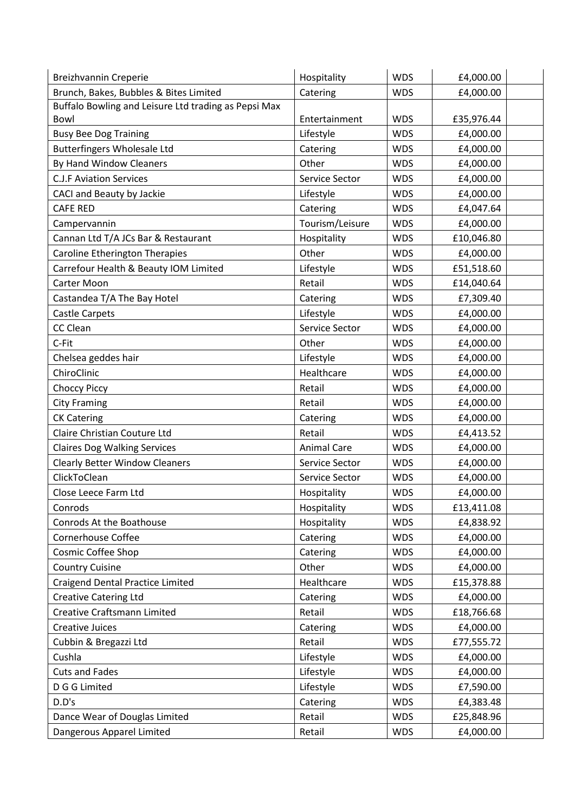| Breizhvannin Creperie                                        | Hospitality        | <b>WDS</b> | £4,000.00  |
|--------------------------------------------------------------|--------------------|------------|------------|
| Brunch, Bakes, Bubbles & Bites Limited                       | Catering           | <b>WDS</b> | £4,000.00  |
| Buffalo Bowling and Leisure Ltd trading as Pepsi Max<br>Bowl | Entertainment      | <b>WDS</b> | £35,976.44 |
| <b>Busy Bee Dog Training</b>                                 | Lifestyle          | <b>WDS</b> | £4,000.00  |
| <b>Butterfingers Wholesale Ltd</b>                           | Catering           | <b>WDS</b> | £4,000.00  |
| By Hand Window Cleaners                                      | Other              | <b>WDS</b> | £4,000.00  |
| <b>C.J.F Aviation Services</b>                               | Service Sector     | <b>WDS</b> | £4,000.00  |
| CACI and Beauty by Jackie                                    | Lifestyle          | <b>WDS</b> | £4,000.00  |
| <b>CAFE RED</b>                                              | Catering           | <b>WDS</b> | £4,047.64  |
| Campervannin                                                 | Tourism/Leisure    | <b>WDS</b> | £4,000.00  |
| Cannan Ltd T/A JCs Bar & Restaurant                          | Hospitality        | <b>WDS</b> | £10,046.80 |
| Caroline Etherington Therapies                               | Other              | <b>WDS</b> | £4,000.00  |
| Carrefour Health & Beauty IOM Limited                        | Lifestyle          | <b>WDS</b> | £51,518.60 |
| <b>Carter Moon</b>                                           | Retail             | <b>WDS</b> | £14,040.64 |
| Castandea T/A The Bay Hotel                                  | Catering           | <b>WDS</b> | £7,309.40  |
| <b>Castle Carpets</b>                                        | Lifestyle          | <b>WDS</b> | £4,000.00  |
| CC Clean                                                     | Service Sector     | <b>WDS</b> | £4,000.00  |
| C-Fit                                                        | Other              | <b>WDS</b> | £4,000.00  |
| Chelsea geddes hair                                          | Lifestyle          | <b>WDS</b> | £4,000.00  |
| ChiroClinic                                                  | Healthcare         | <b>WDS</b> | £4,000.00  |
| <b>Choccy Piccy</b>                                          | Retail             | <b>WDS</b> | £4,000.00  |
| <b>City Framing</b>                                          | Retail             | <b>WDS</b> | £4,000.00  |
| <b>CK Catering</b>                                           | Catering           | <b>WDS</b> | £4,000.00  |
| Claire Christian Couture Ltd                                 | Retail             | <b>WDS</b> | £4,413.52  |
| <b>Claires Dog Walking Services</b>                          | <b>Animal Care</b> | <b>WDS</b> | £4,000.00  |
| <b>Clearly Better Window Cleaners</b>                        | Service Sector     | <b>WDS</b> | £4,000.00  |
| ClickToClean                                                 | Service Sector     | <b>WDS</b> | £4,000.00  |
| Close Leece Farm Ltd                                         | Hospitality        | <b>WDS</b> | £4,000.00  |
| Conrods                                                      | Hospitality        | <b>WDS</b> | £13,411.08 |
| Conrods At the Boathouse                                     | Hospitality        | <b>WDS</b> | £4,838.92  |
| Cornerhouse Coffee                                           | Catering           | <b>WDS</b> | £4,000.00  |
| Cosmic Coffee Shop                                           | Catering           | <b>WDS</b> | £4,000.00  |
| <b>Country Cuisine</b>                                       | Other              | <b>WDS</b> | £4,000.00  |
| <b>Craigend Dental Practice Limited</b>                      | Healthcare         | <b>WDS</b> | £15,378.88 |
| <b>Creative Catering Ltd</b>                                 | Catering           | <b>WDS</b> | £4,000.00  |
| Creative Craftsmann Limited                                  | Retail             | <b>WDS</b> | £18,766.68 |
| <b>Creative Juices</b>                                       | Catering           | <b>WDS</b> | £4,000.00  |
| Cubbin & Bregazzi Ltd                                        | Retail             | <b>WDS</b> | £77,555.72 |
| Cushla                                                       | Lifestyle          | <b>WDS</b> | £4,000.00  |
| <b>Cuts and Fades</b>                                        | Lifestyle          | <b>WDS</b> | £4,000.00  |
| D G G Limited                                                | Lifestyle          | <b>WDS</b> | £7,590.00  |
| D.D's                                                        | Catering           | <b>WDS</b> | £4,383.48  |
| Dance Wear of Douglas Limited                                | Retail             | <b>WDS</b> | £25,848.96 |
| Dangerous Apparel Limited                                    | Retail             | <b>WDS</b> | £4,000.00  |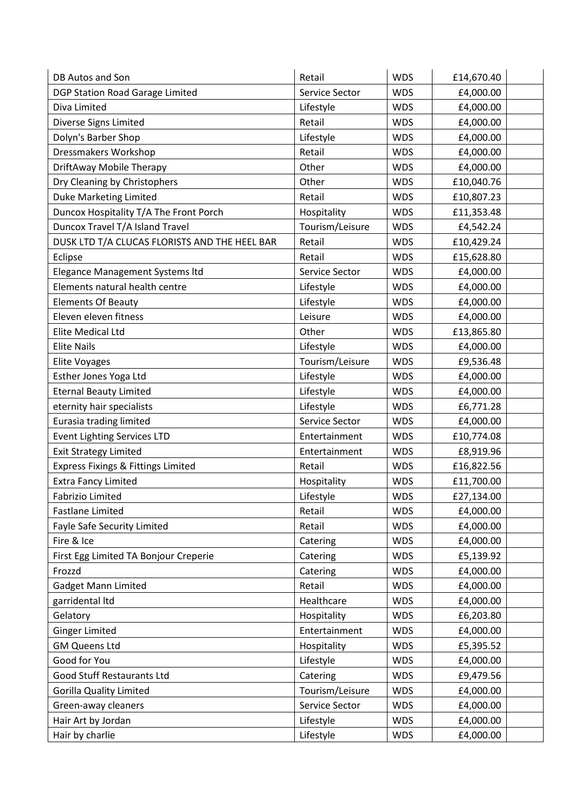| DB Autos and Son                              | Retail          | <b>WDS</b> | £14,670.40 |
|-----------------------------------------------|-----------------|------------|------------|
| DGP Station Road Garage Limited               | Service Sector  | <b>WDS</b> | £4,000.00  |
| Diva Limited                                  | Lifestyle       | <b>WDS</b> | £4,000.00  |
| Diverse Signs Limited                         | Retail          | <b>WDS</b> | £4,000.00  |
| Dolyn's Barber Shop                           | Lifestyle       | <b>WDS</b> | £4,000.00  |
| Dressmakers Workshop                          | Retail          | <b>WDS</b> | £4,000.00  |
| DriftAway Mobile Therapy                      | Other           | <b>WDS</b> | £4,000.00  |
| Dry Cleaning by Christophers                  | Other           | <b>WDS</b> | £10,040.76 |
| <b>Duke Marketing Limited</b>                 | Retail          | <b>WDS</b> | £10,807.23 |
| Duncox Hospitality T/A The Front Porch        | Hospitality     | <b>WDS</b> | £11,353.48 |
| Duncox Travel T/A Island Travel               | Tourism/Leisure | <b>WDS</b> | £4,542.24  |
| DUSK LTD T/A CLUCAS FLORISTS AND THE HEEL BAR | Retail          | <b>WDS</b> | £10,429.24 |
| Eclipse                                       | Retail          | <b>WDS</b> | £15,628.80 |
| Elegance Management Systems Itd               | Service Sector  | <b>WDS</b> | £4,000.00  |
| Elements natural health centre                | Lifestyle       | <b>WDS</b> | £4,000.00  |
| <b>Elements Of Beauty</b>                     | Lifestyle       | <b>WDS</b> | £4,000.00  |
| Eleven eleven fitness                         | Leisure         | <b>WDS</b> | £4,000.00  |
| <b>Elite Medical Ltd</b>                      | Other           | <b>WDS</b> | £13,865.80 |
| <b>Elite Nails</b>                            | Lifestyle       | <b>WDS</b> | £4,000.00  |
| <b>Elite Voyages</b>                          | Tourism/Leisure | <b>WDS</b> | £9,536.48  |
| Esther Jones Yoga Ltd                         | Lifestyle       | <b>WDS</b> | £4,000.00  |
| <b>Eternal Beauty Limited</b>                 | Lifestyle       | <b>WDS</b> | £4,000.00  |
| eternity hair specialists                     | Lifestyle       | <b>WDS</b> | £6,771.28  |
| Eurasia trading limited                       | Service Sector  | <b>WDS</b> | £4,000.00  |
| <b>Event Lighting Services LTD</b>            | Entertainment   | <b>WDS</b> | £10,774.08 |
| <b>Exit Strategy Limited</b>                  | Entertainment   | <b>WDS</b> | £8,919.96  |
| Express Fixings & Fittings Limited            | Retail          | <b>WDS</b> | £16,822.56 |
| <b>Extra Fancy Limited</b>                    | Hospitality     | <b>WDS</b> | £11,700.00 |
| <b>Fabrizio Limited</b>                       | Lifestyle       | <b>WDS</b> | £27,134.00 |
| <b>Fastlane Limited</b>                       | Retail          | <b>WDS</b> | £4,000.00  |
| Fayle Safe Security Limited                   | Retail          | <b>WDS</b> | £4,000.00  |
| Fire & Ice                                    | Catering        | <b>WDS</b> | £4,000.00  |
| First Egg Limited TA Bonjour Creperie         | Catering        | <b>WDS</b> | £5,139.92  |
| Frozzd                                        | Catering        | <b>WDS</b> | £4,000.00  |
| <b>Gadget Mann Limited</b>                    | Retail          | <b>WDS</b> | £4,000.00  |
| garridental Itd                               | Healthcare      | <b>WDS</b> | £4,000.00  |
| Gelatory                                      | Hospitality     | <b>WDS</b> | £6,203.80  |
| <b>Ginger Limited</b>                         | Entertainment   | <b>WDS</b> | £4,000.00  |
| <b>GM Queens Ltd</b>                          | Hospitality     | <b>WDS</b> | £5,395.52  |
| Good for You                                  | Lifestyle       | <b>WDS</b> | £4,000.00  |
| Good Stuff Restaurants Ltd                    | Catering        | <b>WDS</b> | £9,479.56  |
| <b>Gorilla Quality Limited</b>                | Tourism/Leisure | <b>WDS</b> | £4,000.00  |
| Green-away cleaners                           | Service Sector  | <b>WDS</b> | £4,000.00  |
| Hair Art by Jordan                            | Lifestyle       | <b>WDS</b> | £4,000.00  |
| Hair by charlie                               | Lifestyle       | <b>WDS</b> | £4,000.00  |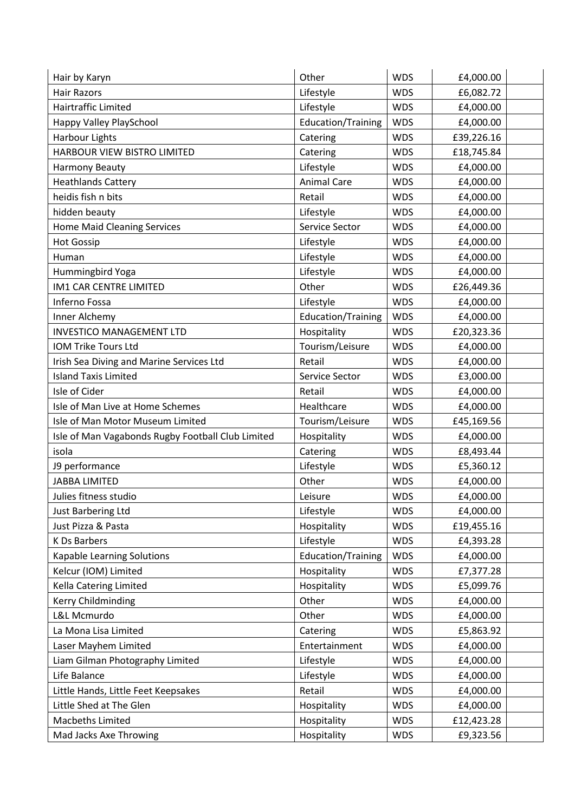| Hair by Karyn                                     | Other                     | <b>WDS</b> | £4,000.00  |  |
|---------------------------------------------------|---------------------------|------------|------------|--|
| <b>Hair Razors</b>                                | Lifestyle                 | <b>WDS</b> | £6,082.72  |  |
| Hairtraffic Limited                               | Lifestyle                 | <b>WDS</b> | £4,000.00  |  |
| Happy Valley PlaySchool                           | Education/Training        | <b>WDS</b> | £4,000.00  |  |
| <b>Harbour Lights</b>                             | Catering                  | <b>WDS</b> | £39,226.16 |  |
| HARBOUR VIEW BISTRO LIMITED                       | Catering                  | <b>WDS</b> | £18,745.84 |  |
| Harmony Beauty                                    | Lifestyle                 | <b>WDS</b> | £4,000.00  |  |
| <b>Heathlands Cattery</b>                         | <b>Animal Care</b>        | <b>WDS</b> | £4,000.00  |  |
| heidis fish n bits                                | Retail                    | <b>WDS</b> | £4,000.00  |  |
| hidden beauty                                     | Lifestyle                 | <b>WDS</b> | £4,000.00  |  |
| <b>Home Maid Cleaning Services</b>                | Service Sector            | <b>WDS</b> | £4,000.00  |  |
| <b>Hot Gossip</b>                                 | Lifestyle                 | <b>WDS</b> | £4,000.00  |  |
| Human                                             | Lifestyle                 | <b>WDS</b> | £4,000.00  |  |
| Hummingbird Yoga                                  | Lifestyle                 | <b>WDS</b> | £4,000.00  |  |
| <b>IM1 CAR CENTRE LIMITED</b>                     | Other                     | <b>WDS</b> | £26,449.36 |  |
| Inferno Fossa                                     | Lifestyle                 | <b>WDS</b> | £4,000.00  |  |
| Inner Alchemy                                     | <b>Education/Training</b> | <b>WDS</b> | £4,000.00  |  |
| <b>INVESTICO MANAGEMENT LTD</b>                   | Hospitality               | <b>WDS</b> | £20,323.36 |  |
| <b>IOM Trike Tours Ltd</b>                        | Tourism/Leisure           | <b>WDS</b> | £4,000.00  |  |
| Irish Sea Diving and Marine Services Ltd          | Retail                    | <b>WDS</b> | £4,000.00  |  |
| <b>Island Taxis Limited</b>                       | Service Sector            | <b>WDS</b> | £3,000.00  |  |
| Isle of Cider                                     | Retail                    | <b>WDS</b> | £4,000.00  |  |
| Isle of Man Live at Home Schemes                  | Healthcare                | <b>WDS</b> | £4,000.00  |  |
| Isle of Man Motor Museum Limited                  | Tourism/Leisure           | <b>WDS</b> | £45,169.56 |  |
| Isle of Man Vagabonds Rugby Football Club Limited | Hospitality               | <b>WDS</b> | £4,000.00  |  |
| isola                                             | Catering                  | <b>WDS</b> | £8,493.44  |  |
| J9 performance                                    | Lifestyle                 | <b>WDS</b> | £5,360.12  |  |
| <b>JABBA LIMITED</b>                              | Other                     | <b>WDS</b> | £4,000.00  |  |
| Julies fitness studio                             | Leisure                   | <b>WDS</b> | £4,000.00  |  |
| Just Barbering Ltd                                | Lifestyle                 | <b>WDS</b> | £4,000.00  |  |
| Just Pizza & Pasta                                | Hospitality               | <b>WDS</b> | £19,455.16 |  |
| K Ds Barbers                                      | Lifestyle                 | <b>WDS</b> | £4,393.28  |  |
| Kapable Learning Solutions                        | <b>Education/Training</b> | <b>WDS</b> | £4,000.00  |  |
| Kelcur (IOM) Limited                              | Hospitality               | <b>WDS</b> | £7,377.28  |  |
| Kella Catering Limited                            | Hospitality               | <b>WDS</b> | £5,099.76  |  |
| Kerry Childminding                                | Other                     | <b>WDS</b> | £4,000.00  |  |
| L&L Mcmurdo                                       | Other                     | <b>WDS</b> | £4,000.00  |  |
| La Mona Lisa Limited                              | Catering                  | <b>WDS</b> | £5,863.92  |  |
| Laser Mayhem Limited                              | Entertainment             | <b>WDS</b> | £4,000.00  |  |
| Liam Gilman Photography Limited                   | Lifestyle                 | <b>WDS</b> | £4,000.00  |  |
| Life Balance                                      | Lifestyle                 | <b>WDS</b> | £4,000.00  |  |
| Little Hands, Little Feet Keepsakes               | Retail                    | <b>WDS</b> | £4,000.00  |  |
| Little Shed at The Glen                           | Hospitality               | <b>WDS</b> | £4,000.00  |  |
| Macbeths Limited                                  | Hospitality               | <b>WDS</b> | £12,423.28 |  |
| Mad Jacks Axe Throwing                            | Hospitality               | <b>WDS</b> | £9,323.56  |  |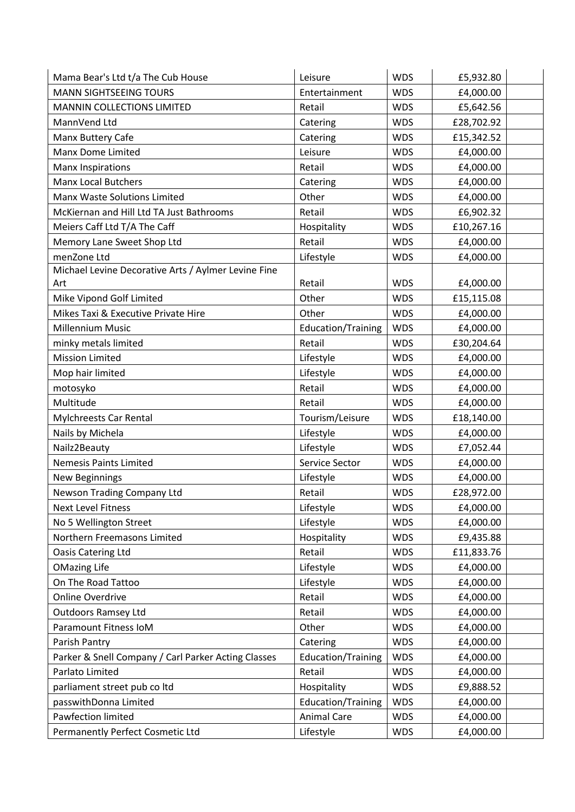| Mama Bear's Ltd t/a The Cub House                   | Leisure            | <b>WDS</b> | £5,932.80  |
|-----------------------------------------------------|--------------------|------------|------------|
| <b>MANN SIGHTSEEING TOURS</b>                       | Entertainment      | <b>WDS</b> | £4,000.00  |
| MANNIN COLLECTIONS LIMITED                          | Retail             | <b>WDS</b> | £5,642.56  |
| MannVend Ltd                                        | Catering           | <b>WDS</b> | £28,702.92 |
| Manx Buttery Cafe                                   | Catering           | <b>WDS</b> | £15,342.52 |
| <b>Manx Dome Limited</b>                            | Leisure            | <b>WDS</b> | £4,000.00  |
| <b>Manx Inspirations</b>                            | Retail             | <b>WDS</b> | £4,000.00  |
| <b>Manx Local Butchers</b>                          | Catering           | <b>WDS</b> | £4,000.00  |
| Manx Waste Solutions Limited                        | Other              | <b>WDS</b> | £4,000.00  |
| McKiernan and Hill Ltd TA Just Bathrooms            | Retail             | <b>WDS</b> | £6,902.32  |
| Meiers Caff Ltd T/A The Caff                        | Hospitality        | <b>WDS</b> | £10,267.16 |
| Memory Lane Sweet Shop Ltd                          | Retail             | <b>WDS</b> | £4,000.00  |
| menZone Ltd                                         | Lifestyle          | <b>WDS</b> | £4,000.00  |
| Michael Levine Decorative Arts / Aylmer Levine Fine |                    |            |            |
| Art                                                 | Retail             | <b>WDS</b> | £4,000.00  |
| Mike Vipond Golf Limited                            | Other              | <b>WDS</b> | £15,115.08 |
| Mikes Taxi & Executive Private Hire                 | Other              | <b>WDS</b> | £4,000.00  |
| <b>Millennium Music</b>                             | Education/Training | <b>WDS</b> | £4,000.00  |
| minky metals limited                                | Retail             | <b>WDS</b> | £30,204.64 |
| <b>Mission Limited</b>                              | Lifestyle          | <b>WDS</b> | £4,000.00  |
| Mop hair limited                                    | Lifestyle          | <b>WDS</b> | £4,000.00  |
| motosyko                                            | Retail             | <b>WDS</b> | £4,000.00  |
| Multitude                                           | Retail             | <b>WDS</b> | £4,000.00  |
| Mylchreests Car Rental                              | Tourism/Leisure    | <b>WDS</b> | £18,140.00 |
| Nails by Michela                                    | Lifestyle          | <b>WDS</b> | £4,000.00  |
| Nailz2Beauty                                        | Lifestyle          | <b>WDS</b> | £7,052.44  |
| <b>Nemesis Paints Limited</b>                       | Service Sector     | <b>WDS</b> | £4,000.00  |
| <b>New Beginnings</b>                               | Lifestyle          | <b>WDS</b> | £4,000.00  |
| Newson Trading Company Ltd                          | Retail             | <b>WDS</b> | £28,972.00 |
| Next Level Fitness                                  | Lifestyle          | <b>WDS</b> | £4,000.00  |
| No 5 Wellington Street                              | Lifestyle          | <b>WDS</b> | £4,000.00  |
| Northern Freemasons Limited                         | Hospitality        | <b>WDS</b> | £9,435.88  |
| Oasis Catering Ltd                                  | Retail             | <b>WDS</b> | £11,833.76 |
| <b>OMazing Life</b>                                 | Lifestyle          | <b>WDS</b> | £4,000.00  |
| On The Road Tattoo                                  | Lifestyle          | <b>WDS</b> | £4,000.00  |
| <b>Online Overdrive</b>                             | Retail             | <b>WDS</b> | £4,000.00  |
| <b>Outdoors Ramsey Ltd</b>                          | Retail             | <b>WDS</b> | £4,000.00  |
| Paramount Fitness IoM                               | Other              | <b>WDS</b> | £4,000.00  |
| Parish Pantry                                       | Catering           | <b>WDS</b> | £4,000.00  |
| Parker & Snell Company / Carl Parker Acting Classes | Education/Training | <b>WDS</b> | £4,000.00  |
| Parlato Limited                                     | Retail             | <b>WDS</b> | £4,000.00  |
| parliament street pub co ltd                        | Hospitality        | <b>WDS</b> | £9,888.52  |
| passwithDonna Limited                               | Education/Training | <b>WDS</b> | £4,000.00  |
| Pawfection limited                                  | <b>Animal Care</b> | <b>WDS</b> | £4,000.00  |
| Permanently Perfect Cosmetic Ltd                    | Lifestyle          | <b>WDS</b> | £4,000.00  |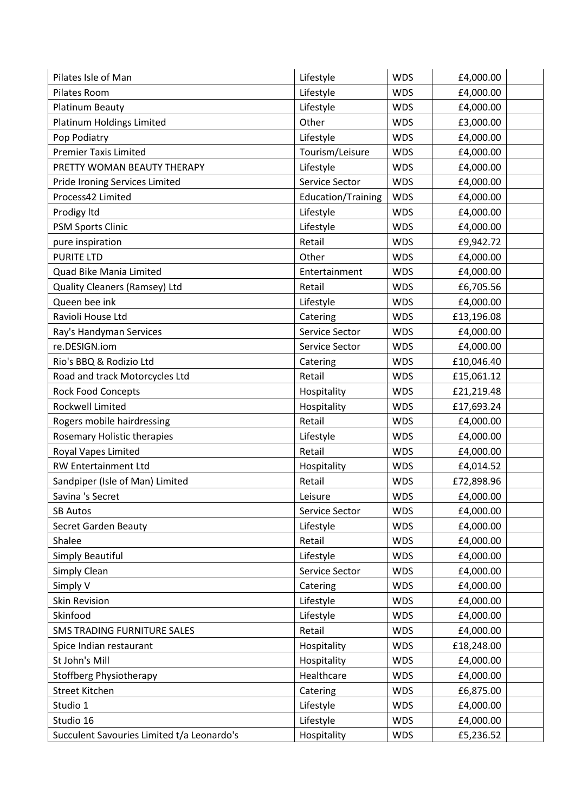| Pilates Isle of Man                        | Lifestyle          | <b>WDS</b> | £4,000.00  |  |
|--------------------------------------------|--------------------|------------|------------|--|
| Pilates Room                               | Lifestyle          | <b>WDS</b> | £4,000.00  |  |
| <b>Platinum Beauty</b>                     | Lifestyle          | <b>WDS</b> | £4,000.00  |  |
| Platinum Holdings Limited                  | Other              | <b>WDS</b> | £3,000.00  |  |
| Pop Podiatry                               | Lifestyle          | <b>WDS</b> | £4,000.00  |  |
| <b>Premier Taxis Limited</b>               | Tourism/Leisure    | <b>WDS</b> | £4,000.00  |  |
| PRETTY WOMAN BEAUTY THERAPY                | Lifestyle          | <b>WDS</b> | £4,000.00  |  |
| Pride Ironing Services Limited             | Service Sector     | <b>WDS</b> | £4,000.00  |  |
| Process42 Limited                          | Education/Training | <b>WDS</b> | £4,000.00  |  |
| Prodigy Itd                                | Lifestyle          | <b>WDS</b> | £4,000.00  |  |
| <b>PSM Sports Clinic</b>                   | Lifestyle          | <b>WDS</b> | £4,000.00  |  |
| pure inspiration                           | Retail             | <b>WDS</b> | £9,942.72  |  |
| <b>PURITE LTD</b>                          | Other              | <b>WDS</b> | £4,000.00  |  |
| Quad Bike Mania Limited                    | Entertainment      | <b>WDS</b> | £4,000.00  |  |
| Quality Cleaners (Ramsey) Ltd              | Retail             | <b>WDS</b> | £6,705.56  |  |
| Queen bee ink                              | Lifestyle          | <b>WDS</b> | £4,000.00  |  |
| Ravioli House Ltd                          | Catering           | <b>WDS</b> | £13,196.08 |  |
| Ray's Handyman Services                    | Service Sector     | <b>WDS</b> | £4,000.00  |  |
| re.DESIGN.iom                              | Service Sector     | <b>WDS</b> | £4,000.00  |  |
| Rio's BBQ & Rodizio Ltd                    | Catering           | <b>WDS</b> | £10,046.40 |  |
| Road and track Motorcycles Ltd             | Retail             | <b>WDS</b> | £15,061.12 |  |
| <b>Rock Food Concepts</b>                  | Hospitality        | <b>WDS</b> | £21,219.48 |  |
| Rockwell Limited                           | Hospitality        | <b>WDS</b> | £17,693.24 |  |
| Rogers mobile hairdressing                 | Retail             | <b>WDS</b> | £4,000.00  |  |
| Rosemary Holistic therapies                | Lifestyle          | <b>WDS</b> | £4,000.00  |  |
| Royal Vapes Limited                        | Retail             | <b>WDS</b> | £4,000.00  |  |
| RW Entertainment Ltd                       | Hospitality        | <b>WDS</b> | £4,014.52  |  |
| Sandpiper (Isle of Man) Limited            | Retail             | <b>WDS</b> | £72,898.96 |  |
| Savina 's Secret                           | Leisure            | <b>WDS</b> | £4,000.00  |  |
| <b>SB Autos</b>                            | Service Sector     | <b>WDS</b> | £4,000.00  |  |
| Secret Garden Beauty                       | Lifestyle          | <b>WDS</b> | £4,000.00  |  |
| Shalee                                     | Retail             | <b>WDS</b> | £4,000.00  |  |
| <b>Simply Beautiful</b>                    | Lifestyle          | <b>WDS</b> | £4,000.00  |  |
| Simply Clean                               | Service Sector     | <b>WDS</b> | £4,000.00  |  |
| Simply V                                   | Catering           | <b>WDS</b> | £4,000.00  |  |
| <b>Skin Revision</b>                       | Lifestyle          | <b>WDS</b> | £4,000.00  |  |
| Skinfood                                   | Lifestyle          | <b>WDS</b> | £4,000.00  |  |
| SMS TRADING FURNITURE SALES                | Retail             | <b>WDS</b> | £4,000.00  |  |
| Spice Indian restaurant                    | Hospitality        | <b>WDS</b> | £18,248.00 |  |
| St John's Mill                             | Hospitality        | <b>WDS</b> | £4,000.00  |  |
| <b>Stoffberg Physiotherapy</b>             | Healthcare         | <b>WDS</b> | £4,000.00  |  |
| <b>Street Kitchen</b>                      | Catering           | <b>WDS</b> | £6,875.00  |  |
| Studio 1                                   | Lifestyle          | <b>WDS</b> | £4,000.00  |  |
| Studio 16                                  | Lifestyle          | <b>WDS</b> | £4,000.00  |  |
| Succulent Savouries Limited t/a Leonardo's | Hospitality        | <b>WDS</b> | £5,236.52  |  |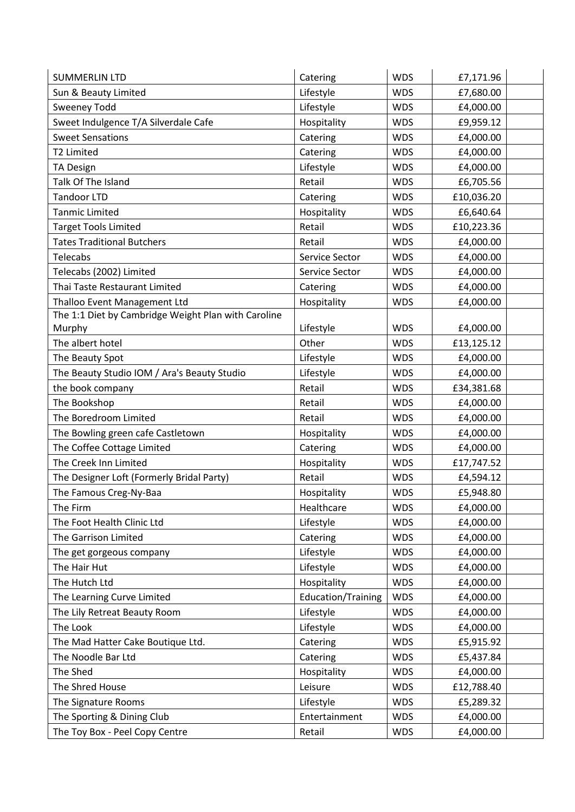| <b>SUMMERLIN LTD</b>                                | Catering                  | <b>WDS</b> | £7,171.96  |  |
|-----------------------------------------------------|---------------------------|------------|------------|--|
| Sun & Beauty Limited                                | Lifestyle                 | <b>WDS</b> | £7,680.00  |  |
| <b>Sweeney Todd</b>                                 | Lifestyle                 | <b>WDS</b> | £4,000.00  |  |
| Sweet Indulgence T/A Silverdale Cafe                | Hospitality               | <b>WDS</b> | £9,959.12  |  |
| <b>Sweet Sensations</b>                             | Catering                  | <b>WDS</b> | £4,000.00  |  |
| T2 Limited                                          | Catering                  | <b>WDS</b> | £4,000.00  |  |
| <b>TA Design</b>                                    | Lifestyle                 | <b>WDS</b> | £4,000.00  |  |
| Talk Of The Island                                  | Retail                    | <b>WDS</b> | £6,705.56  |  |
| <b>Tandoor LTD</b>                                  | Catering                  | <b>WDS</b> | £10,036.20 |  |
| <b>Tanmic Limited</b>                               | Hospitality               | <b>WDS</b> | £6,640.64  |  |
| <b>Target Tools Limited</b>                         | Retail                    | <b>WDS</b> | £10,223.36 |  |
| <b>Tates Traditional Butchers</b>                   | Retail                    | <b>WDS</b> | £4,000.00  |  |
| Telecabs                                            | Service Sector            | <b>WDS</b> | £4,000.00  |  |
| Telecabs (2002) Limited                             | Service Sector            | <b>WDS</b> | £4,000.00  |  |
| Thai Taste Restaurant Limited                       | Catering                  | <b>WDS</b> | £4,000.00  |  |
| Thalloo Event Management Ltd                        | Hospitality               | <b>WDS</b> | £4,000.00  |  |
| The 1:1 Diet by Cambridge Weight Plan with Caroline |                           |            |            |  |
| Murphy                                              | Lifestyle                 | <b>WDS</b> | £4,000.00  |  |
| The albert hotel                                    | Other                     | <b>WDS</b> | £13,125.12 |  |
| The Beauty Spot                                     | Lifestyle                 | <b>WDS</b> | £4,000.00  |  |
| The Beauty Studio IOM / Ara's Beauty Studio         | Lifestyle                 | <b>WDS</b> | £4,000.00  |  |
| the book company                                    | Retail                    | <b>WDS</b> | £34,381.68 |  |
| The Bookshop                                        | Retail                    | <b>WDS</b> | £4,000.00  |  |
| The Boredroom Limited                               | Retail                    | <b>WDS</b> | £4,000.00  |  |
| The Bowling green cafe Castletown                   | Hospitality               | <b>WDS</b> | £4,000.00  |  |
| The Coffee Cottage Limited                          | Catering                  | <b>WDS</b> | £4,000.00  |  |
| The Creek Inn Limited                               | Hospitality               | <b>WDS</b> | £17,747.52 |  |
| The Designer Loft (Formerly Bridal Party)           | Retail                    | <b>WDS</b> | £4,594.12  |  |
| The Famous Creg-Ny-Baa                              | Hospitality               | <b>WDS</b> | £5,948.80  |  |
| The Firm                                            | Healthcare                | <b>WDS</b> | £4,000.00  |  |
| The Foot Health Clinic Ltd                          | Lifestyle                 | <b>WDS</b> | £4,000.00  |  |
| The Garrison Limited                                | Catering                  | <b>WDS</b> | £4,000.00  |  |
| The get gorgeous company                            | Lifestyle                 | <b>WDS</b> | £4,000.00  |  |
| The Hair Hut                                        | Lifestyle                 | <b>WDS</b> | £4,000.00  |  |
| The Hutch Ltd                                       | Hospitality               | <b>WDS</b> | £4,000.00  |  |
| The Learning Curve Limited                          | <b>Education/Training</b> | <b>WDS</b> | £4,000.00  |  |
| The Lily Retreat Beauty Room                        | Lifestyle                 | <b>WDS</b> | £4,000.00  |  |
| The Look                                            | Lifestyle                 | <b>WDS</b> | £4,000.00  |  |
| The Mad Hatter Cake Boutique Ltd.                   | Catering                  | <b>WDS</b> | £5,915.92  |  |
| The Noodle Bar Ltd                                  | Catering                  | <b>WDS</b> | £5,437.84  |  |
| The Shed                                            | Hospitality               | <b>WDS</b> | £4,000.00  |  |
| The Shred House                                     | Leisure                   | <b>WDS</b> | £12,788.40 |  |
| The Signature Rooms                                 | Lifestyle                 | <b>WDS</b> | £5,289.32  |  |
| The Sporting & Dining Club                          | Entertainment             | <b>WDS</b> | £4,000.00  |  |
| The Toy Box - Peel Copy Centre                      | Retail                    | <b>WDS</b> | £4,000.00  |  |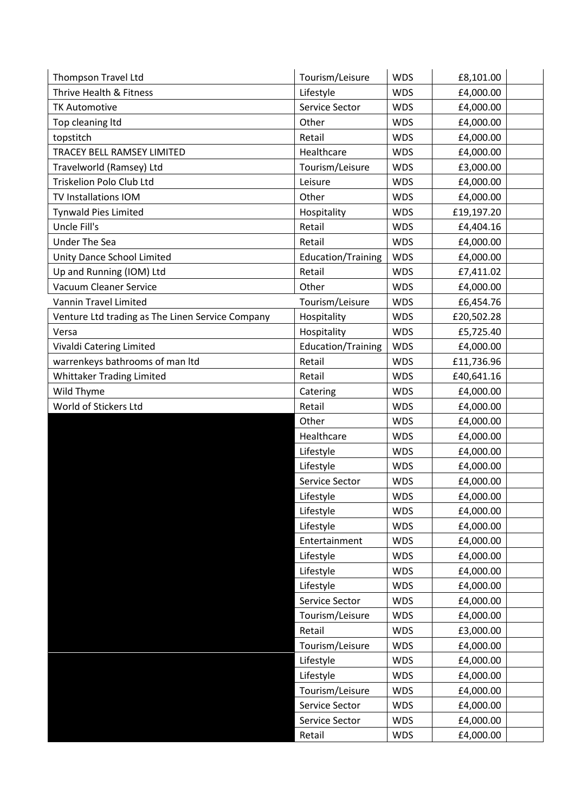| <b>Thompson Travel Ltd</b>                       | Tourism/Leisure           | <b>WDS</b> | £8,101.00  |
|--------------------------------------------------|---------------------------|------------|------------|
| Thrive Health & Fitness                          | Lifestyle                 | <b>WDS</b> | £4,000.00  |
| <b>TK Automotive</b>                             | Service Sector            | <b>WDS</b> | £4,000.00  |
| Top cleaning Itd                                 | Other                     | <b>WDS</b> | £4,000.00  |
| topstitch                                        | Retail                    | <b>WDS</b> | £4,000.00  |
| TRACEY BELL RAMSEY LIMITED                       | Healthcare                | <b>WDS</b> | £4,000.00  |
| Travelworld (Ramsey) Ltd                         | Tourism/Leisure           | <b>WDS</b> | £3,000.00  |
| Triskelion Polo Club Ltd                         | Leisure                   | <b>WDS</b> | £4,000.00  |
| TV Installations IOM                             | Other                     | <b>WDS</b> | £4,000.00  |
| <b>Tynwald Pies Limited</b>                      | Hospitality               | <b>WDS</b> | £19,197.20 |
| Uncle Fill's                                     | Retail                    | <b>WDS</b> | £4,404.16  |
| <b>Under The Sea</b>                             | Retail                    | <b>WDS</b> | £4,000.00  |
| Unity Dance School Limited                       | Education/Training        | <b>WDS</b> | £4,000.00  |
| Up and Running (IOM) Ltd                         | Retail                    | <b>WDS</b> | £7,411.02  |
| <b>Vacuum Cleaner Service</b>                    | Other                     | <b>WDS</b> | £4,000.00  |
| <b>Vannin Travel Limited</b>                     | Tourism/Leisure           | <b>WDS</b> | £6,454.76  |
| Venture Ltd trading as The Linen Service Company | Hospitality               | <b>WDS</b> | £20,502.28 |
| Versa                                            | Hospitality               | <b>WDS</b> | £5,725.40  |
| Vivaldi Catering Limited                         | <b>Education/Training</b> | <b>WDS</b> | £4,000.00  |
| warrenkeys bathrooms of man Itd                  | Retail                    | <b>WDS</b> | £11,736.96 |
| <b>Whittaker Trading Limited</b>                 | Retail                    | <b>WDS</b> | £40,641.16 |
| Wild Thyme                                       | Catering                  | <b>WDS</b> | £4,000.00  |
| World of Stickers Ltd                            | Retail                    | <b>WDS</b> | £4,000.00  |
|                                                  | Other                     | <b>WDS</b> | £4,000.00  |
|                                                  | Healthcare                | <b>WDS</b> | £4,000.00  |
|                                                  | Lifestyle                 | <b>WDS</b> | £4,000.00  |
|                                                  | Lifestyle                 | <b>WDS</b> | £4,000.00  |
|                                                  | Service Sector            | <b>WDS</b> | £4,000.00  |
|                                                  | Lifestyle                 | <b>WDS</b> | £4,000.00  |
|                                                  | Lifestyle                 | <b>WDS</b> | £4,000.00  |
|                                                  | Lifestyle                 | <b>WDS</b> | £4,000.00  |
|                                                  | Entertainment             | <b>WDS</b> | £4,000.00  |
|                                                  | Lifestyle                 | <b>WDS</b> | £4,000.00  |
|                                                  | Lifestyle                 | <b>WDS</b> | £4,000.00  |
|                                                  | Lifestyle                 | <b>WDS</b> | £4,000.00  |
|                                                  | Service Sector            | <b>WDS</b> | £4,000.00  |
|                                                  | Tourism/Leisure           | <b>WDS</b> | £4,000.00  |
|                                                  | Retail                    | <b>WDS</b> | £3,000.00  |
|                                                  | Tourism/Leisure           | <b>WDS</b> | £4,000.00  |
|                                                  | Lifestyle                 | <b>WDS</b> | £4,000.00  |
|                                                  | Lifestyle                 | <b>WDS</b> | £4,000.00  |
|                                                  | Tourism/Leisure           | <b>WDS</b> | £4,000.00  |
|                                                  | Service Sector            | <b>WDS</b> | £4,000.00  |
|                                                  | Service Sector            | <b>WDS</b> | £4,000.00  |
|                                                  | Retail                    | <b>WDS</b> | £4,000.00  |